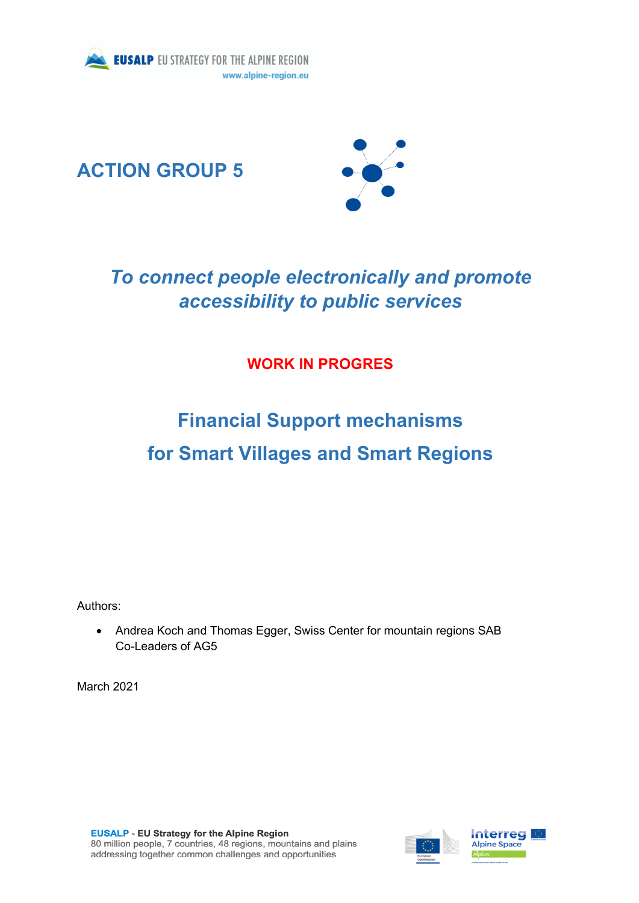





## *To connect people electronically and promote accessibility to public services*

## **WORK IN PROGRES**

# **Financial Support mechanisms for Smart Villages and Smart Regions**

Authors:

• Andrea Koch and Thomas Egger, Swiss Center for mountain regions SAB Co-Leaders of AG5

March 2021

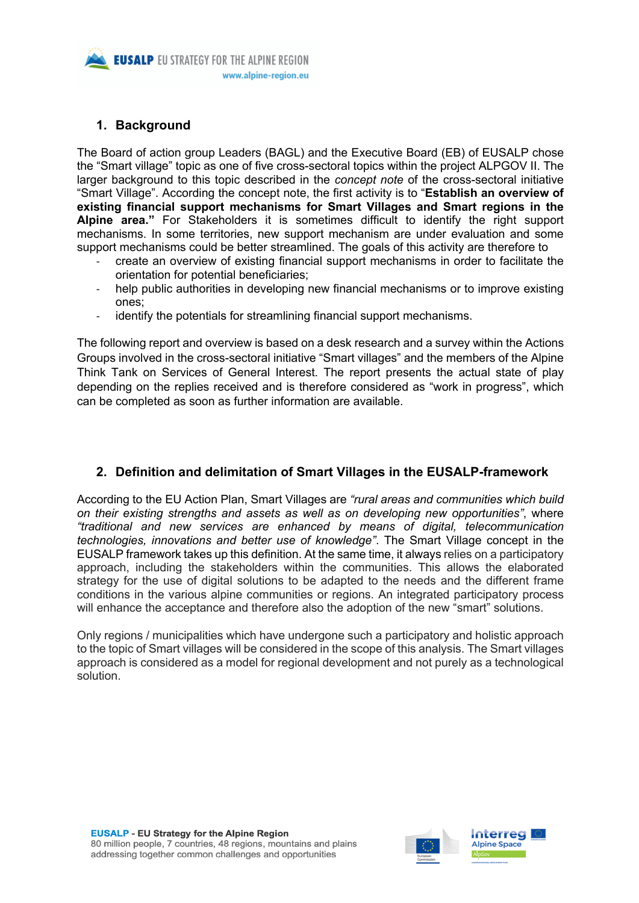

## **1. Background**

The Board of action group Leaders (BAGL) and the Executive Board (EB) of EUSALP chose the "Smart village" topic as one of five cross-sectoral topics within the project ALPGOV II. The larger background to this topic described in the *concept note* of the cross-sectoral initiative "Smart Village". According the concept note, the first activity is to "**Establish an overview of existing financial support mechanisms for Smart Villages and Smart regions in the Alpine area."** For Stakeholders it is sometimes difficult to identify the right support mechanisms. In some territories, new support mechanism are under evaluation and some support mechanisms could be better streamlined. The goals of this activity are therefore to

- create an overview of existing financial support mechanisms in order to facilitate the orientation for potential beneficiaries;
- help public authorities in developing new financial mechanisms or to improve existing ones;
- identify the potentials for streamlining financial support mechanisms.

The following report and overview is based on a desk research and a survey within the Actions Groups involved in the cross-sectoral initiative "Smart villages" and the members of the Alpine Think Tank on Services of General Interest. The report presents the actual state of play depending on the replies received and is therefore considered as "work in progress", which can be completed as soon as further information are available.

## **2. Definition and delimitation of Smart Villages in the EUSALP-framework**

According to the EU Action Plan, Smart Villages are *"rural areas and communities which build on their existing strengths and assets as well as on developing new opportunities"*, where *"traditional and new services are enhanced by means of digital, telecommunication technologies, innovations and better use of knowledge"*. The Smart Village concept in the EUSALP framework takes up this definition. At the same time, it always relies on a participatory approach, including the stakeholders within the communities. This allows the elaborated strategy for the use of digital solutions to be adapted to the needs and the different frame conditions in the various alpine communities or regions. An integrated participatory process will enhance the acceptance and therefore also the adoption of the new "smart" solutions.

Only regions / municipalities which have undergone such a participatory and holistic approach to the topic of Smart villages will be considered in the scope of this analysis. The Smart villages approach is considered as a model for regional development and not purely as a technological solution.

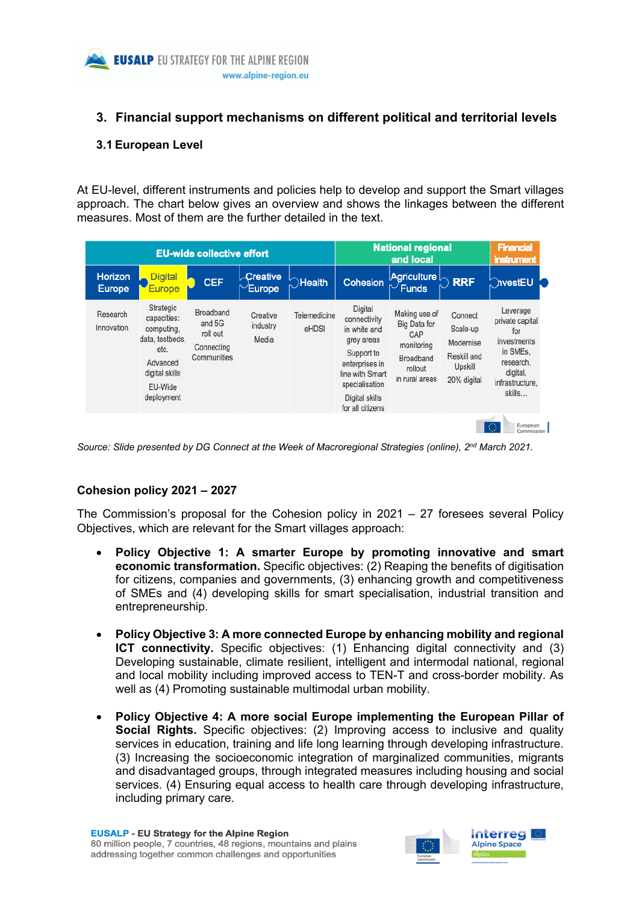## **3. Financial support mechanisms on different political and territorial levels**

## **3.1 European Level**

At EU-level, different instruments and policies help to develop and support the Smart villages approach. The chart below gives an overview and shows the linkages between the different measures. Most of them are the further detailed in the text.

| <b>EU-wide collective effort</b> |                                                                                                                          |                                                              |                                    |                       | <b>National regional</b><br>and local                                                                                                                            |                                                                                              |                                                                           | <b>Financial</b><br><b>instrument</b>                                                                               |
|----------------------------------|--------------------------------------------------------------------------------------------------------------------------|--------------------------------------------------------------|------------------------------------|-----------------------|------------------------------------------------------------------------------------------------------------------------------------------------------------------|----------------------------------------------------------------------------------------------|---------------------------------------------------------------------------|---------------------------------------------------------------------------------------------------------------------|
| <b>Horizon</b><br><b>Europe</b>  | <b>Digital</b><br><b>Europe</b>                                                                                          | <b>CEF</b>                                                   | $\sqrt{$ <b>Creative</b><br>Europe | $\bigcirc$ Health     | Cohesion                                                                                                                                                         | Agriculture $\mathord{\wedge}$<br>$\sim$ Funds                                               | <b>RRF</b>                                                                | ົ∩vestEU                                                                                                            |
| Research<br>Innovation           | Strategic<br>capacities:<br>computing.<br>data, testbeds.<br>etc.<br>Advanced<br>digital skills<br>EU-Wide<br>deployment | Broadband<br>and 5G<br>roll out<br>Connecting<br>Communities | Creative<br>industry<br>Media      | Telemedicine<br>eHDSI | Digital<br>connectivity<br>in white and<br>grey areas<br>Support to<br>enterprises in<br>line with Smart<br>specialisation<br>Digital skills<br>for all citizens | Making use of<br>Big Data for<br>CAP<br>monitoring<br>Broadband<br>rollout<br>in rural areas | Connect<br>Scale-up<br>Modernise<br>Reskill and<br>Upskill<br>20% digital | Leverage<br>private capital<br>for<br>investments<br>in SMEs.<br>research,<br>digital,<br>infrastructure,<br>skills |
|                                  |                                                                                                                          |                                                              |                                    |                       |                                                                                                                                                                  |                                                                                              |                                                                           | European<br>Commission I                                                                                            |

*Source: Slide presented by DG Connect at the Week of Macroregional Strategies (online), 2nd March 2021.* 

## **Cohesion policy 2021 – 2027**

The Commission's proposal for the Cohesion policy in 2021 – 27 foresees several Policy Objectives, which are relevant for the Smart villages approach:

- **Policy Objective 1: A smarter Europe by promoting innovative and smart economic transformation.** Specific objectives: (2) Reaping the benefits of digitisation for citizens, companies and governments, (3) enhancing growth and competitiveness of SMEs and (4) developing skills for smart specialisation, industrial transition and entrepreneurship.
- **Policy Objective 3: A more connected Europe by enhancing mobility and regional ICT connectivity.** Specific objectives: (1) Enhancing digital connectivity and (3) Developing sustainable, climate resilient, intelligent and intermodal national, regional and local mobility including improved access to TEN-T and cross-border mobility. As well as (4) Promoting sustainable multimodal urban mobility.
- **Policy Objective 4: A more social Europe implementing the European Pillar of Social Rights.** Specific objectives: (2) Improving access to inclusive and quality services in education, training and life long learning through developing infrastructure. (3) Increasing the socioeconomic integration of marginalized communities, migrants and disadvantaged groups, through integrated measures including housing and social services. (4) Ensuring equal access to health care through developing infrastructure, including primary care.

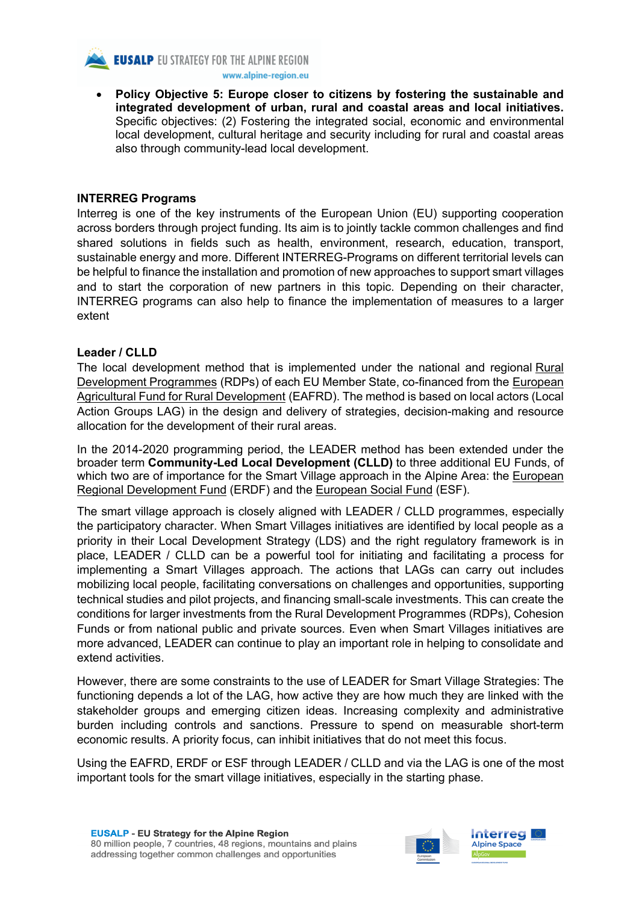

**EUSALP EU STRATEGY FOR THE ALPINE REGION** 

www.alpine-region.eu

• **Policy Objective 5: Europe closer to citizens by fostering the sustainable and integrated development of urban, rural and coastal areas and local initiatives.**  Specific objectives: (2) Fostering the integrated social, economic and environmental local development, cultural heritage and security including for rural and coastal areas also through community-lead local development.

#### **INTERREG Programs**

Interreg is one of the key instruments of the European Union (EU) supporting cooperation across borders through project funding. Its aim is to jointly tackle common challenges and find shared solutions in fields such as health, environment, research, education, transport, sustainable energy and more. Different INTERREG-Programs on different territorial levels can be helpful to finance the installation and promotion of new approaches to support smart villages and to start the corporation of new partners in this topic. Depending on their character, INTERREG programs can also help to finance the implementation of measures to a larger extent

#### **Leader / CLLD**

The local development method that is implemented under the national and regional Rural Development Programmes (RDPs) of each EU Member State, co-financed from the European Agricultural Fund for Rural Development (EAFRD). The method is based on local actors (Local Action Groups LAG) in the design and delivery of strategies, decision-making and resource allocation for the development of their rural areas.

In the 2014-2020 programming period, the LEADER method has been extended under the broader term **Community-Led Local Development (CLLD)** to three additional EU Funds, of which two are of importance for the Smart Village approach in the Alpine Area: the European Regional Development Fund (ERDF) and the European Social Fund (ESF).

The smart village approach is closely aligned with LEADER / CLLD programmes, especially the participatory character. When Smart Villages initiatives are identified by local people as a priority in their Local Development Strategy (LDS) and the right regulatory framework is in place, LEADER / CLLD can be a powerful tool for initiating and facilitating a process for implementing a Smart Villages approach. The actions that LAGs can carry out includes mobilizing local people, facilitating conversations on challenges and opportunities, supporting technical studies and pilot projects, and financing small-scale investments. This can create the conditions for larger investments from the Rural Development Programmes (RDPs), Cohesion Funds or from national public and private sources. Even when Smart Villages initiatives are more advanced, LEADER can continue to play an important role in helping to consolidate and extend activities.

However, there are some constraints to the use of LEADER for Smart Village Strategies: The functioning depends a lot of the LAG, how active they are how much they are linked with the stakeholder groups and emerging citizen ideas. Increasing complexity and administrative burden including controls and sanctions. Pressure to spend on measurable short-term economic results. A priority focus, can inhibit initiatives that do not meet this focus.

Using the EAFRD, ERDF or ESF through LEADER / CLLD and via the LAG is one of the most important tools for the smart village initiatives, especially in the starting phase.

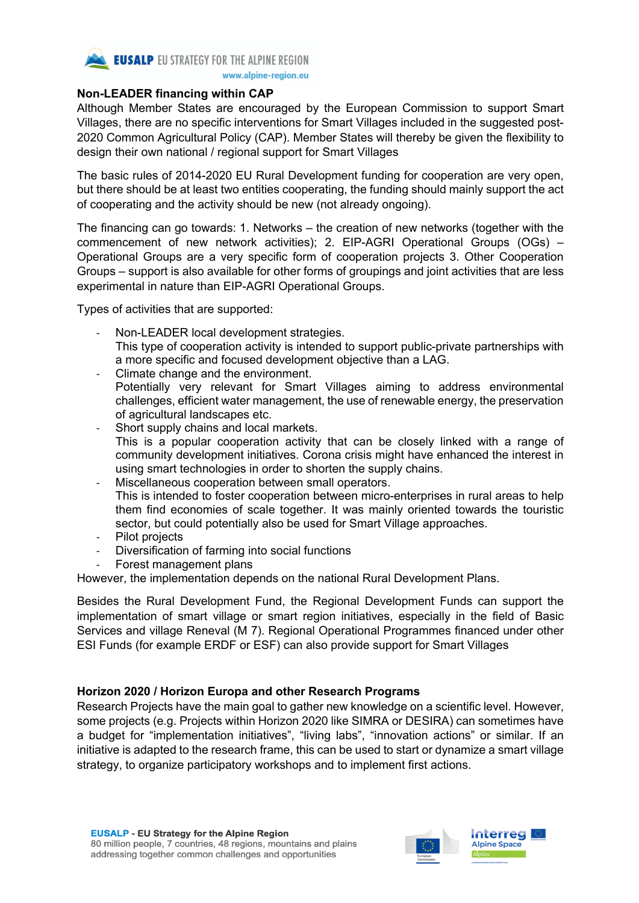

#### **Non-LEADER financing within CAP**

Although Member States are encouraged by the European Commission to support Smart Villages, there are no specific interventions for Smart Villages included in the suggested post-2020 Common Agricultural Policy (CAP). Member States will thereby be given the flexibility to design their own national / regional support for Smart Villages

The basic rules of 2014-2020 EU Rural Development funding for cooperation are very open, but there should be at least two entities cooperating, the funding should mainly support the act of cooperating and the activity should be new (not already ongoing).

The financing can go towards: 1. Networks – the creation of new networks (together with the commencement of new network activities); 2. EIP-AGRI Operational Groups (OGs) – Operational Groups are a very specific form of cooperation projects 3. Other Cooperation Groups – support is also available for other forms of groupings and joint activities that are less experimental in nature than EIP-AGRI Operational Groups.

Types of activities that are supported:

- Non-LEADER local development strategies. This type of cooperation activity is intended to support public-private partnerships with a more specific and focused development objective than a LAG.
- Climate change and the environment. Potentially very relevant for Smart Villages aiming to address environmental challenges, efficient water management, the use of renewable energy, the preservation of agricultural landscapes etc.
- Short supply chains and local markets. This is a popular cooperation activity that can be closely linked with a range of community development initiatives. Corona crisis might have enhanced the interest in using smart technologies in order to shorten the supply chains.
- Miscellaneous cooperation between small operators. This is intended to foster cooperation between micro-enterprises in rural areas to help them find economies of scale together. It was mainly oriented towards the touristic sector, but could potentially also be used for Smart Village approaches.
- Pilot projects
- Diversification of farming into social functions
- Forest management plans

However, the implementation depends on the national Rural Development Plans.

Besides the Rural Development Fund, the Regional Development Funds can support the implementation of smart village or smart region initiatives, especially in the field of Basic Services and village Reneval (M 7). Regional Operational Programmes financed under other ESI Funds (for example ERDF or ESF) can also provide support for Smart Villages

#### **Horizon 2020 / Horizon Europa and other Research Programs**

Research Projects have the main goal to gather new knowledge on a scientific level. However, some projects (e.g. Projects within Horizon 2020 like SIMRA or DESIRA) can sometimes have a budget for "implementation initiatives", "living labs", "innovation actions" or similar. If an initiative is adapted to the research frame, this can be used to start or dynamize a smart village strategy, to organize participatory workshops and to implement first actions.

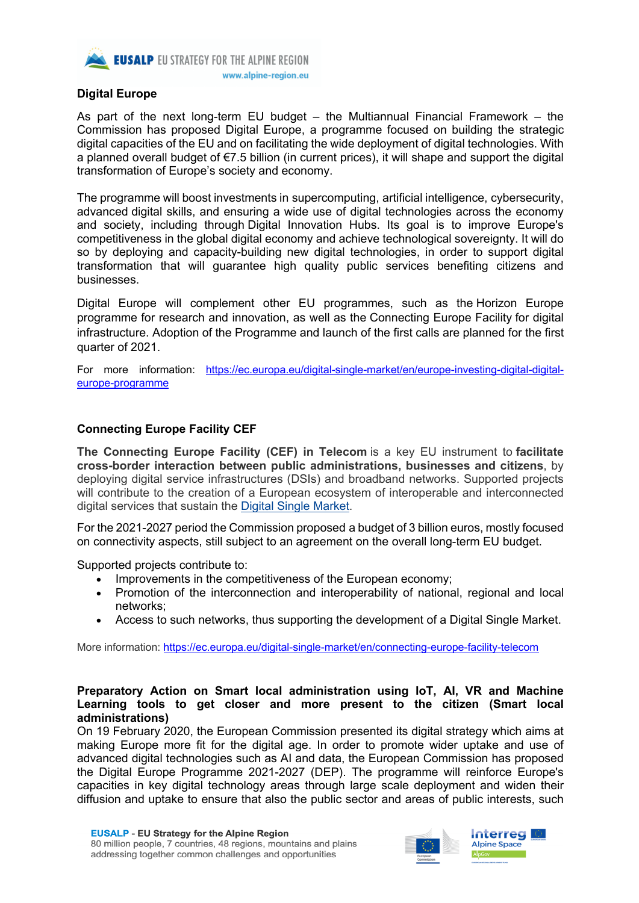

#### **Digital Europe**

As part of the next long-term EU budget – the Multiannual Financial Framework – the Commission has proposed Digital Europe, a programme focused on building the strategic digital capacities of the EU and on facilitating the wide deployment of digital technologies. With a planned overall budget of €7.5 billion (in current prices), it will shape and support the digital transformation of Europe's society and economy.

The programme will boost investments in supercomputing, artificial intelligence, cybersecurity, advanced digital skills, and ensuring a wide use of digital technologies across the economy and society, including through Digital Innovation Hubs. Its goal is to improve Europe's competitiveness in the global digital economy and achieve technological sovereignty. It will do so by deploying and capacity-building new digital technologies, in order to support digital transformation that will guarantee high quality public services benefiting citizens and businesses.

Digital Europe will complement other EU programmes, such as the Horizon Europe programme for research and innovation, as well as the Connecting Europe Facility for digital infrastructure. Adoption of the Programme and launch of the first calls are planned for the first quarter of 2021.

For more information: https://ec.europa.eu/digital-single-market/en/europe-investing-digital-digitaleurope-programme

#### **Connecting Europe Facility CEF**

**The Connecting Europe Facility (CEF) in Telecom** is a key EU instrument to **facilitate cross-border interaction between public administrations, businesses and citizens**, by deploying digital service infrastructures (DSIs) and broadband networks. Supported projects will contribute to the creation of a European ecosystem of interoperable and interconnected digital services that sustain the Digital Single Market.

For the 2021-2027 period the Commission proposed a budget of 3 billion euros, mostly focused on connectivity aspects, still subject to an agreement on the overall long-term EU budget.

Supported projects contribute to:

- Improvements in the competitiveness of the European economy;
- Promotion of the interconnection and interoperability of national, regional and local networks;
- Access to such networks, thus supporting the development of a Digital Single Market.

More information: https://ec.europa.eu/digital-single-market/en/connecting-europe-facility-telecom

#### **Preparatory Action on Smart local administration using IoT, AI, VR and Machine Learning tools to get closer and more present to the citizen (Smart local administrations)**

On 19 February 2020, the European Commission presented its digital strategy which aims at making Europe more fit for the digital age. In order to promote wider uptake and use of advanced digital technologies such as AI and data, the European Commission has proposed the Digital Europe Programme 2021-2027 (DEP). The programme will reinforce Europe's capacities in key digital technology areas through large scale deployment and widen their diffusion and uptake to ensure that also the public sector and areas of public interests, such

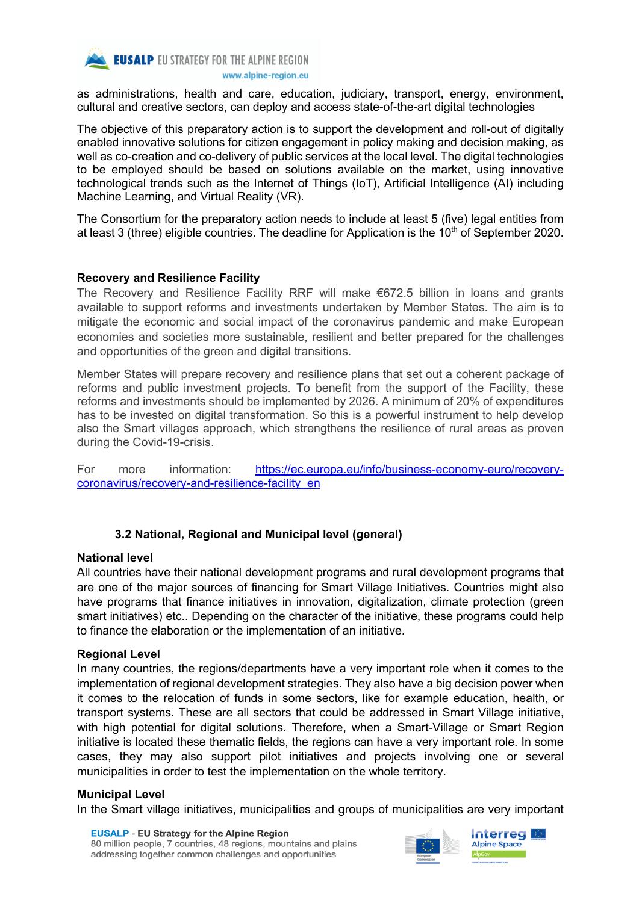

as administrations, health and care, education, judiciary, transport, energy, environment, cultural and creative sectors, can deploy and access state-of-the-art digital technologies

The objective of this preparatory action is to support the development and roll-out of digitally enabled innovative solutions for citizen engagement in policy making and decision making, as well as co-creation and co-delivery of public services at the local level. The digital technologies to be employed should be based on solutions available on the market, using innovative technological trends such as the Internet of Things (IoT), Artificial Intelligence (AI) including Machine Learning, and Virtual Reality (VR).

The Consortium for the preparatory action needs to include at least 5 (five) legal entities from at least 3 (three) eligible countries. The deadline for Application is the  $10<sup>th</sup>$  of September 2020.

#### **Recovery and Resilience Facility**

The Recovery and Resilience Facility RRF will make €672.5 billion in loans and grants available to support reforms and investments undertaken by Member States. The aim is to mitigate the economic and social impact of the coronavirus pandemic and make European economies and societies more sustainable, resilient and better prepared for the challenges and opportunities of the green and digital transitions.

Member States will prepare recovery and resilience plans that set out a coherent package of reforms and public investment projects. To benefit from the support of the Facility, these reforms and investments should be implemented by 2026. A minimum of 20% of expenditures has to be invested on digital transformation. So this is a powerful instrument to help develop also the Smart villages approach, which strengthens the resilience of rural areas as proven during the Covid-19-crisis.

For more information: https://ec.europa.eu/info/business-economy-euro/recoverycoronavirus/recovery-and-resilience-facility\_en

#### **3.2 National, Regional and Municipal level (general)**

#### **National level**

All countries have their national development programs and rural development programs that are one of the major sources of financing for Smart Village Initiatives. Countries might also have programs that finance initiatives in innovation, digitalization, climate protection (green smart initiatives) etc.. Depending on the character of the initiative, these programs could help to finance the elaboration or the implementation of an initiative.

#### **Regional Level**

In many countries, the regions/departments have a very important role when it comes to the implementation of regional development strategies. They also have a big decision power when it comes to the relocation of funds in some sectors, like for example education, health, or transport systems. These are all sectors that could be addressed in Smart Village initiative, with high potential for digital solutions. Therefore, when a Smart-Village or Smart Region initiative is located these thematic fields, the regions can have a very important role. In some cases, they may also support pilot initiatives and projects involving one or several municipalities in order to test the implementation on the whole territory.

#### **Municipal Level**

In the Smart village initiatives, municipalities and groups of municipalities are very important



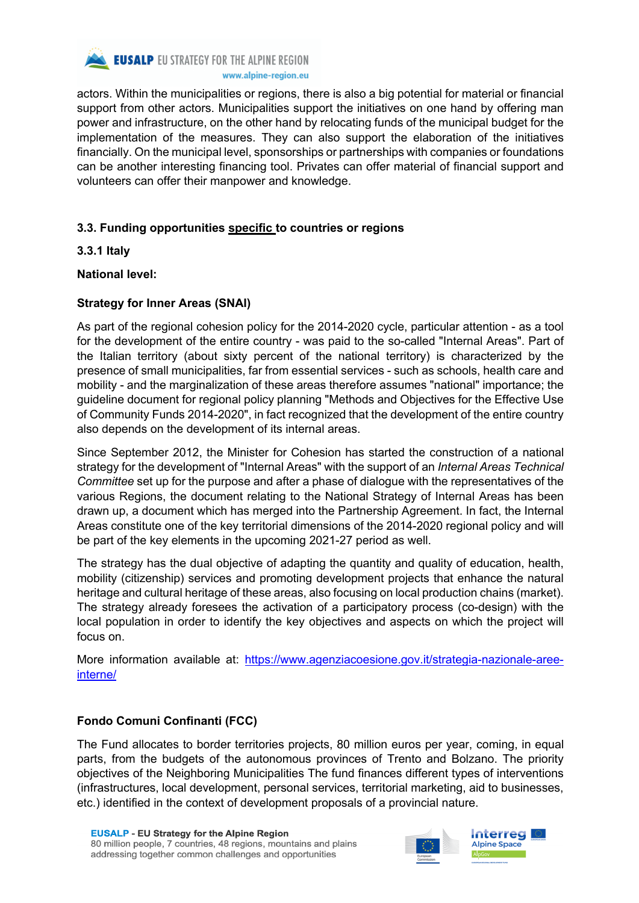

actors. Within the municipalities or regions, there is also a big potential for material or financial support from other actors. Municipalities support the initiatives on one hand by offering man power and infrastructure, on the other hand by relocating funds of the municipal budget for the implementation of the measures. They can also support the elaboration of the initiatives financially. On the municipal level, sponsorships or partnerships with companies or foundations can be another interesting financing tool. Privates can offer material of financial support and volunteers can offer their manpower and knowledge.

## **3.3. Funding opportunities specific to countries or regions**

**3.3.1 Italy**

## **National level:**

## **Strategy for Inner Areas (SNAI)**

As part of the regional cohesion policy for the 2014-2020 cycle, particular attention - as a tool for the development of the entire country - was paid to the so-called "Internal Areas". Part of the Italian territory (about sixty percent of the national territory) is characterized by the presence of small municipalities, far from essential services - such as schools, health care and mobility - and the marginalization of these areas therefore assumes "national" importance; the guideline document for regional policy planning "Methods and Objectives for the Effective Use of Community Funds 2014-2020", in fact recognized that the development of the entire country also depends on the development of its internal areas.

Since September 2012, the Minister for Cohesion has started the construction of a national strategy for the development of "Internal Areas" with the support of an *Internal Areas Technical Committee* set up for the purpose and after a phase of dialogue with the representatives of the various Regions, the document relating to the National Strategy of Internal Areas has been drawn up, a document which has merged into the Partnership Agreement. In fact, the Internal Areas constitute one of the key territorial dimensions of the 2014-2020 regional policy and will be part of the key elements in the upcoming 2021-27 period as well.

The strategy has the dual objective of adapting the quantity and quality of education, health, mobility (citizenship) services and promoting development projects that enhance the natural heritage and cultural heritage of these areas, also focusing on local production chains (market). The strategy already foresees the activation of a participatory process (co-design) with the local population in order to identify the key objectives and aspects on which the project will focus on.

More information available at: https://www.agenziacoesione.gov.it/strategia-nazionale-areeinterne/

## **Fondo Comuni Confinanti (FCC)**

The Fund allocates to border territories projects, 80 million euros per year, coming, in equal parts, from the budgets of the autonomous provinces of Trento and Bolzano. The priority objectives of the Neighboring Municipalities The fund finances different types of interventions (infrastructures, local development, personal services, territorial marketing, aid to businesses, etc.) identified in the context of development proposals of a provincial nature.

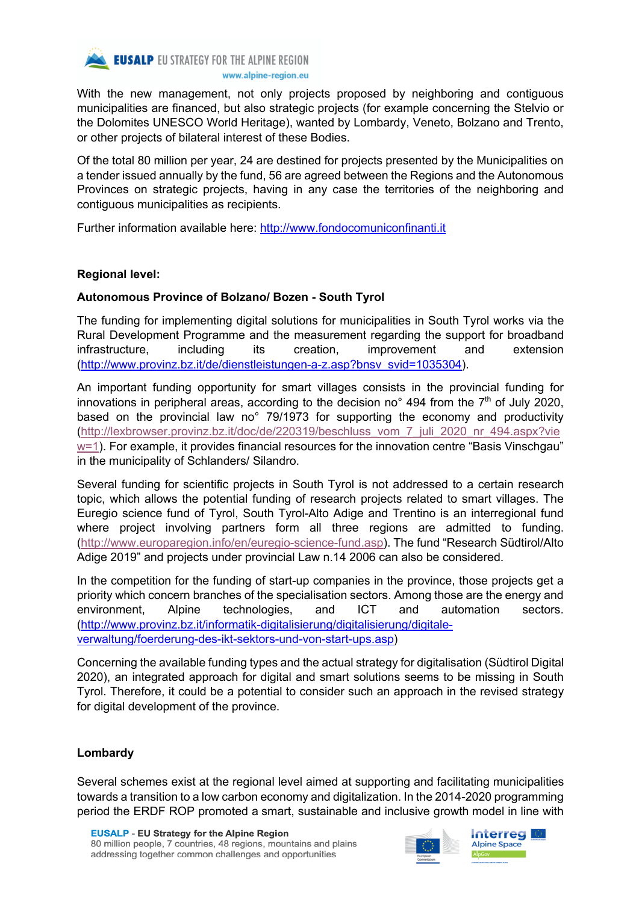

With the new management, not only projects proposed by neighboring and contiguous municipalities are financed, but also strategic projects (for example concerning the Stelvio or the Dolomites UNESCO World Heritage), wanted by Lombardy, Veneto, Bolzano and Trento, or other projects of bilateral interest of these Bodies.

Of the total 80 million per year, 24 are destined for projects presented by the Municipalities on a tender issued annually by the fund, 56 are agreed between the Regions and the Autonomous Provinces on strategic projects, having in any case the territories of the neighboring and contiguous municipalities as recipients.

Further information available here: http://www.fondocomuniconfinanti.it

#### **Regional level:**

## **Autonomous Province of Bolzano/ Bozen - South Tyrol**

The funding for implementing digital solutions for municipalities in South Tyrol works via the Rural Development Programme and the measurement regarding the support for broadband infrastructure, including its creation, improvement and extension (http://www.provinz.bz.it/de/dienstleistungen-a-z.asp?bnsv\_svid=1035304).

An important funding opportunity for smart villages consists in the provincial funding for innovations in peripheral areas, according to the decision no<sup>o</sup> 494 from the  $7<sup>th</sup>$  of July 2020, based on the provincial law no° 79/1973 for supporting the economy and productivity (http://lexbrowser.provinz.bz.it/doc/de/220319/beschluss\_vom\_7\_juli\_2020\_nr\_494.aspx?vie w=1). For example, it provides financial resources for the innovation centre "Basis Vinschgau" in the municipality of Schlanders/ Silandro.

Several funding for scientific projects in South Tyrol is not addressed to a certain research topic, which allows the potential funding of research projects related to smart villages. The Euregio science fund of Tyrol, South Tyrol-Alto Adige and Trentino is an interregional fund where project involving partners form all three regions are admitted to funding. (http://www.europaregion.info/en/euregio-science-fund.asp). The fund "Research Südtirol/Alto Adige 2019" and projects under provincial Law n.14 2006 can also be considered.

In the competition for the funding of start-up companies in the province, those projects get a priority which concern branches of the specialisation sectors. Among those are the energy and environment, Alpine technologies, and ICT and automation sectors. (http://www.provinz.bz.it/informatik-digitalisierung/digitalisierung/digitaleverwaltung/foerderung-des-ikt-sektors-und-von-start-ups.asp)

Concerning the available funding types and the actual strategy for digitalisation (Südtirol Digital 2020), an integrated approach for digital and smart solutions seems to be missing in South Tyrol. Therefore, it could be a potential to consider such an approach in the revised strategy for digital development of the province.

#### **Lombardy**

Several schemes exist at the regional level aimed at supporting and facilitating municipalities towards a transition to a low carbon economy and digitalization. In the 2014-2020 programming period the ERDF ROP promoted a smart, sustainable and inclusive growth model in line with



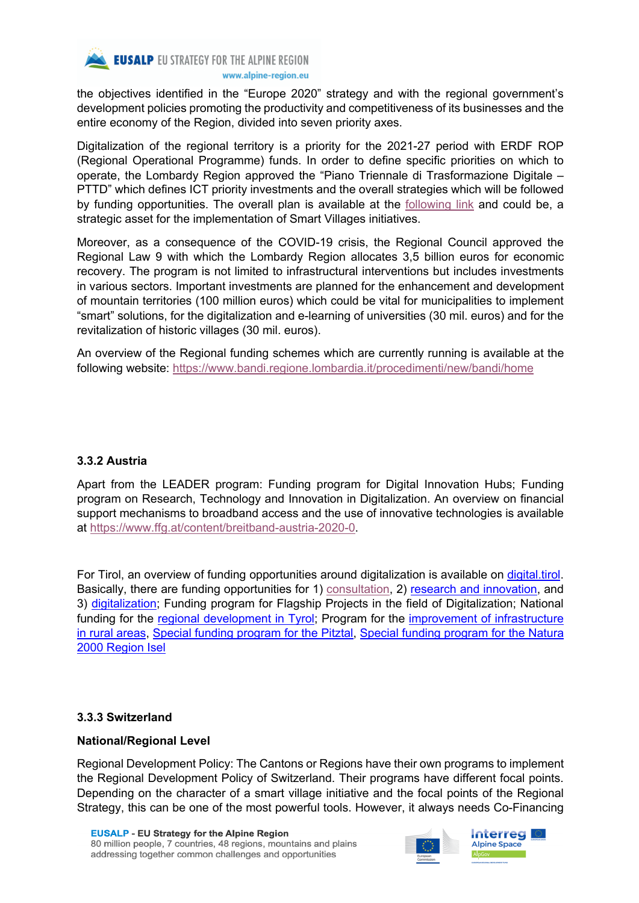

the objectives identified in the "Europe 2020" strategy and with the regional government's development policies promoting the productivity and competitiveness of its businesses and the entire economy of the Region, divided into seven priority axes.

Digitalization of the regional territory is a priority for the 2021-27 period with ERDF ROP (Regional Operational Programme) funds. In order to define specific priorities on which to operate, the Lombardy Region approved the "Piano Triennale di Trasformazione Digitale – PTTD" which defines ICT priority investments and the overall strategies which will be followed by funding opportunities. The overall plan is available at the following link and could be, a strategic asset for the implementation of Smart Villages initiatives.

Moreover, as a consequence of the COVID-19 crisis, the Regional Council approved the Regional Law 9 with which the Lombardy Region allocates 3,5 billion euros for economic recovery. The program is not limited to infrastructural interventions but includes investments in various sectors. Important investments are planned for the enhancement and development of mountain territories (100 million euros) which could be vital for municipalities to implement "smart" solutions, for the digitalization and e-learning of universities (30 mil. euros) and for the revitalization of historic villages (30 mil. euros).

An overview of the Regional funding schemes which are currently running is available at the following website: https://www.bandi.regione.lombardia.it/procedimenti/new/bandi/home

#### **3.3.2 Austria**

Apart from the LEADER program: Funding program for Digital Innovation Hubs; Funding program on Research, Technology and Innovation in Digitalization. An overview on financial support mechanisms to broadband access and the use of innovative technologies is available at https://www.ffg.at/content/breitband-austria-2020-0.

For Tirol, an overview of funding opportunities around digitalization is available on digital.tirol. Basically, there are funding opportunities for 1) consultation, 2) research and innovation, and 3) digitalization; Funding program for Flagship Projects in the field of Digitalization; National funding for the regional development in Tyrol; Program for the *improvement of infrastructure* in rural areas, Special funding program for the Pitztal, Special funding program for the Natura 2000 Region Isel

#### **3.3.3 Switzerland**

#### **National/Regional Level**

Regional Development Policy: The Cantons or Regions have their own programs to implement the Regional Development Policy of Switzerland. Their programs have different focal points. Depending on the character of a smart village initiative and the focal points of the Regional Strategy, this can be one of the most powerful tools. However, it always needs Co-Financing



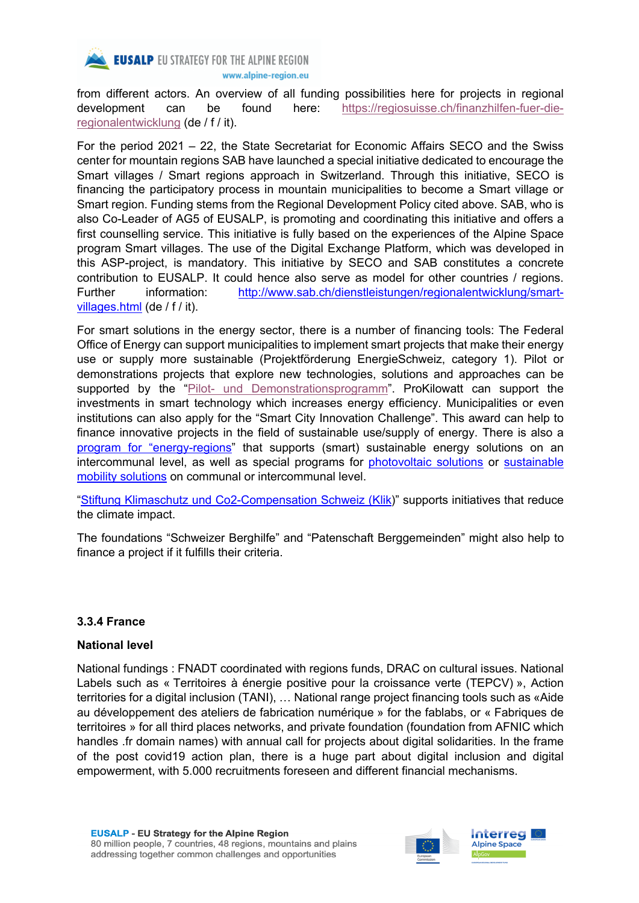

from different actors. An overview of all funding possibilities here for projects in regional development can be found here: https://regiosuisse.ch/finanzhilfen-fuer-dieregionalentwicklung (de / f / it).

For the period 2021 – 22, the State Secretariat for Economic Affairs SECO and the Swiss center for mountain regions SAB have launched a special initiative dedicated to encourage the Smart villages / Smart regions approach in Switzerland. Through this initiative, SECO is financing the participatory process in mountain municipalities to become a Smart village or Smart region. Funding stems from the Regional Development Policy cited above. SAB, who is also Co-Leader of AG5 of EUSALP, is promoting and coordinating this initiative and offers a first counselling service. This initiative is fully based on the experiences of the Alpine Space program Smart villages. The use of the Digital Exchange Platform, which was developed in this ASP-project, is mandatory. This initiative by SECO and SAB constitutes a concrete contribution to EUSALP. It could hence also serve as model for other countries / regions. Further information: http://www.sab.ch/dienstleistungen/regionalentwicklung/smartvillages.html (de / f / it).

For smart solutions in the energy sector, there is a number of financing tools: The Federal Office of Energy can support municipalities to implement smart projects that make their energy use or supply more sustainable (Projektförderung EnergieSchweiz, category 1). Pilot or demonstrations projects that explore new technologies, solutions and approaches can be supported by the "Pilot- und Demonstrationsprogramm". ProKilowatt can support the investments in smart technology which increases energy efficiency. Municipalities or even institutions can also apply for the "Smart City Innovation Challenge". This award can help to finance innovative projects in the field of sustainable use/supply of energy. There is also a program for "energy-regions" that supports (smart) sustainable energy solutions on an intercommunal level, as well as special programs for photovoltaic solutions or sustainable mobility solutions on communal or intercommunal level.

"Stiftung Klimaschutz und Co2-Compensation Schweiz (Klik)" supports initiatives that reduce the climate impact.

The foundations "Schweizer Berghilfe" and "Patenschaft Berggemeinden" might also help to finance a project if it fulfills their criteria.

#### **3.3.4 France**

#### **National level**

National fundings : FNADT coordinated with regions funds, DRAC on cultural issues. National Labels such as « Territoires à énergie positive pour la croissance verte (TEPCV) », Action territories for a digital inclusion (TANI), … National range project financing tools such as «Aide au développement des ateliers de fabrication numérique » for the fablabs, or « Fabriques de territoires » for all third places networks, and private foundation (foundation from AFNIC which handles .fr domain names) with annual call for projects about digital solidarities. In the frame of the post covid19 action plan, there is a huge part about digital inclusion and digital empowerment, with 5.000 recruitments foreseen and different financial mechanisms.

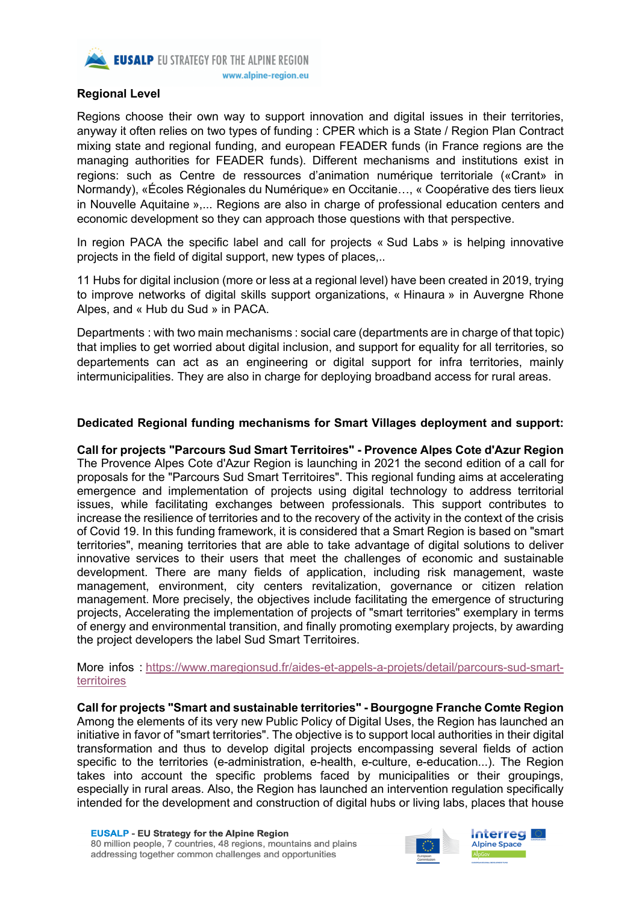

#### **Regional Level**

Regions choose their own way to support innovation and digital issues in their territories, anyway it often relies on two types of funding : CPER which is a State / Region Plan Contract mixing state and regional funding, and european FEADER funds (in France regions are the managing authorities for FEADER funds). Different mechanisms and institutions exist in regions: such as Centre de ressources d'animation numérique territoriale («Crant» in Normandy), «Écoles Régionales du Numérique» en Occitanie…, « Coopérative des tiers lieux in Nouvelle Aquitaine »,... Regions are also in charge of professional education centers and economic development so they can approach those questions with that perspective.

In region PACA the specific label and call for projects « Sud Labs » is helping innovative projects in the field of digital support, new types of places,..

11 Hubs for digital inclusion (more or less at a regional level) have been created in 2019, trying to improve networks of digital skills support organizations, « Hinaura » in Auvergne Rhone Alpes, and « Hub du Sud » in PACA.

Departments : with two main mechanisms : social care (departments are in charge of that topic) that implies to get worried about digital inclusion, and support for equality for all territories, so departements can act as an engineering or digital support for infra territories, mainly intermunicipalities. They are also in charge for deploying broadband access for rural areas.

#### **Dedicated Regional funding mechanisms for Smart Villages deployment and support:**

**Call for projects "Parcours Sud Smart Territoires" - Provence Alpes Cote d'Azur Region** The Provence Alpes Cote d'Azur Region is launching in 2021 the second edition of a call for proposals for the "Parcours Sud Smart Territoires". This regional funding aims at accelerating emergence and implementation of projects using digital technology to address territorial issues, while facilitating exchanges between professionals. This support contributes to increase the resilience of territories and to the recovery of the activity in the context of the crisis of Covid 19. In this funding framework, it is considered that a Smart Region is based on "smart territories", meaning territories that are able to take advantage of digital solutions to deliver innovative services to their users that meet the challenges of economic and sustainable development. There are many fields of application, including risk management, waste management, environment, city centers revitalization, governance or citizen relation management. More precisely, the objectives include facilitating the emergence of structuring projects, Accelerating the implementation of projects of "smart territories" exemplary in terms of energy and environmental transition, and finally promoting exemplary projects, by awarding the project developers the label Sud Smart Territoires.

More infos : https://www.maregionsud.fr/aides-et-appels-a-projets/detail/parcours-sud-smartterritoires

**Call for projects "Smart and sustainable territories" - Bourgogne Franche Comte Region** Among the elements of its very new Public Policy of Digital Uses, the Region has launched an initiative in favor of "smart territories". The objective is to support local authorities in their digital transformation and thus to develop digital projects encompassing several fields of action specific to the territories (e-administration, e-health, e-culture, e-education...). The Region takes into account the specific problems faced by municipalities or their groupings, especially in rural areas. Also, the Region has launched an intervention regulation specifically intended for the development and construction of digital hubs or living labs, places that house

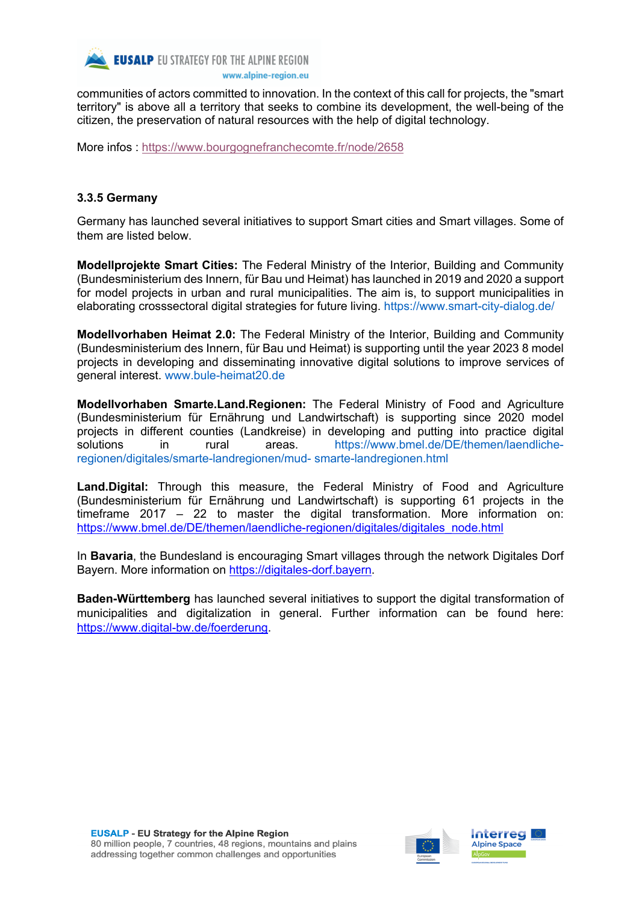

communities of actors committed to innovation. In the context of this call for projects, the "smart territory" is above all a territory that seeks to combine its development, the well-being of the citizen, the preservation of natural resources with the help of digital technology.

More infos : https://www.bourgognefranchecomte.fr/node/2658

## **3.3.5 Germany**

Germany has launched several initiatives to support Smart cities and Smart villages. Some of them are listed below.

**Modellprojekte Smart Cities:** The Federal Ministry of the Interior, Building and Community (Bundesministerium des Innern, für Bau und Heimat) has launched in 2019 and 2020 a support for model projects in urban and rural municipalities. The aim is, to support municipalities in elaborating crosssectoral digital strategies for future living. https://www.smart-city-dialog.de/

**Modellvorhaben Heimat 2.0:** The Federal Ministry of the Interior, Building and Community (Bundesministerium des Innern, für Bau und Heimat) is supporting until the year 2023 8 model projects in developing and disseminating innovative digital solutions to improve services of general interest. www.bule-heimat20.de

**Modellvorhaben Smarte.Land.Regionen:** The Federal Ministry of Food and Agriculture (Bundesministerium für Ernährung und Landwirtschaft) is supporting since 2020 model projects in different counties (Landkreise) in developing and putting into practice digital solutions in rural areas. https://www.bmel.de/DE/themen/laendlicheregionen/digitales/smarte-landregionen/mud- smarte-landregionen.html

**Land.Digital:** Through this measure, the Federal Ministry of Food and Agriculture (Bundesministerium für Ernährung und Landwirtschaft) is supporting 61 projects in the timeframe 2017 – 22 to master the digital transformation. More information on: https://www.bmel.de/DE/themen/laendliche-regionen/digitales/digitales\_node.html

In **Bavaria**, the Bundesland is encouraging Smart villages through the network Digitales Dorf Bayern. More information on https://digitales-dorf.bayern.

**Baden-Württemberg** has launched several initiatives to support the digital transformation of municipalities and digitalization in general. Further information can be found here: https://www.digital-bw.de/foerderung.